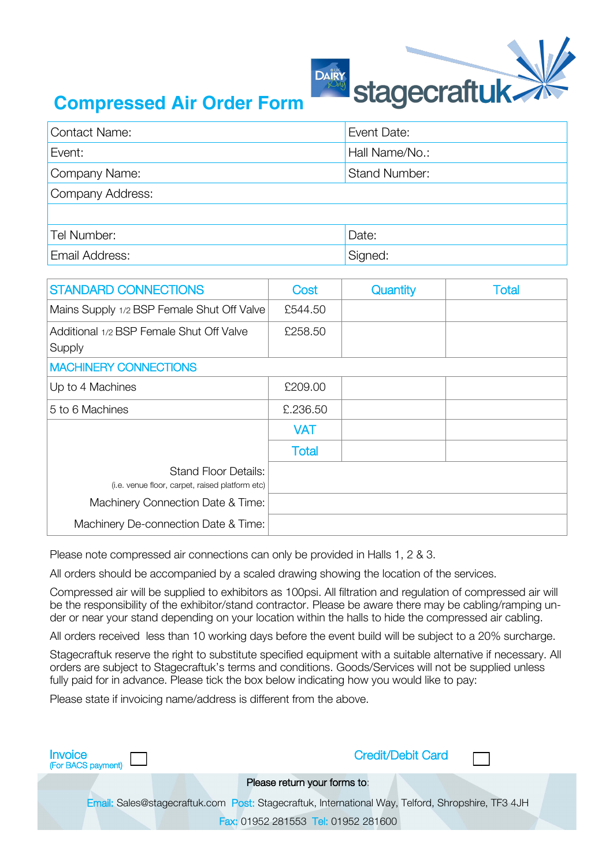

## **Compressed Air Order Form**

| <b>Contact Name:</b> | Event Date:          |
|----------------------|----------------------|
| Event:               | Hall Name/No.:       |
| Company Name:        | <b>Stand Number:</b> |
| Company Address:     |                      |
|                      |                      |
| Tel Number:          | Date:                |
| Email Address:       | Signed:              |

| <b>STANDARD CONNECTIONS</b>                                                    | Cost         | Quantity | <b>Total</b> |
|--------------------------------------------------------------------------------|--------------|----------|--------------|
| Mains Supply 1/2 BSP Female Shut Off Valve                                     | £544.50      |          |              |
| Additional 1/2 BSP Female Shut Off Valve<br>Supply                             | £258.50      |          |              |
| <b>MACHINERY CONNECTIONS</b>                                                   |              |          |              |
| Up to 4 Machines                                                               | £209.00      |          |              |
| 5 to 6 Machines                                                                | £,236,50     |          |              |
|                                                                                | <b>VAT</b>   |          |              |
|                                                                                | <b>Total</b> |          |              |
| <b>Stand Floor Details:</b><br>(i.e. venue floor, carpet, raised platform etc) |              |          |              |
| Machinery Connection Date & Time:                                              |              |          |              |
| Machinery De-connection Date & Time:                                           |              |          |              |

Please note compressed air connections can only be provided in Halls 1, 2 & 3.

All orders should be accompanied by a scaled drawing showing the location of the services.

Compressed air will be supplied to exhibitors as 100psi. All filtration and regulation of compressed air will be the responsibility of the exhibitor/stand contractor. Please be aware there may be cabling/ramping under or near your stand depending on your location within the halls to hide the compressed air cabling.

All orders received less than 10 working days before the event build will be subject to a 20% surcharge.

Stagecraftuk reserve the right to substitute specified equipment with a suitable alternative if necessary. All orders are subject to Stagecraftuk's terms and conditions. Goods/Services will not be supplied unless fully paid for in advance. Please tick the box below indicating how you would like to pay:

Please state if invoicing name/address is different from the above.